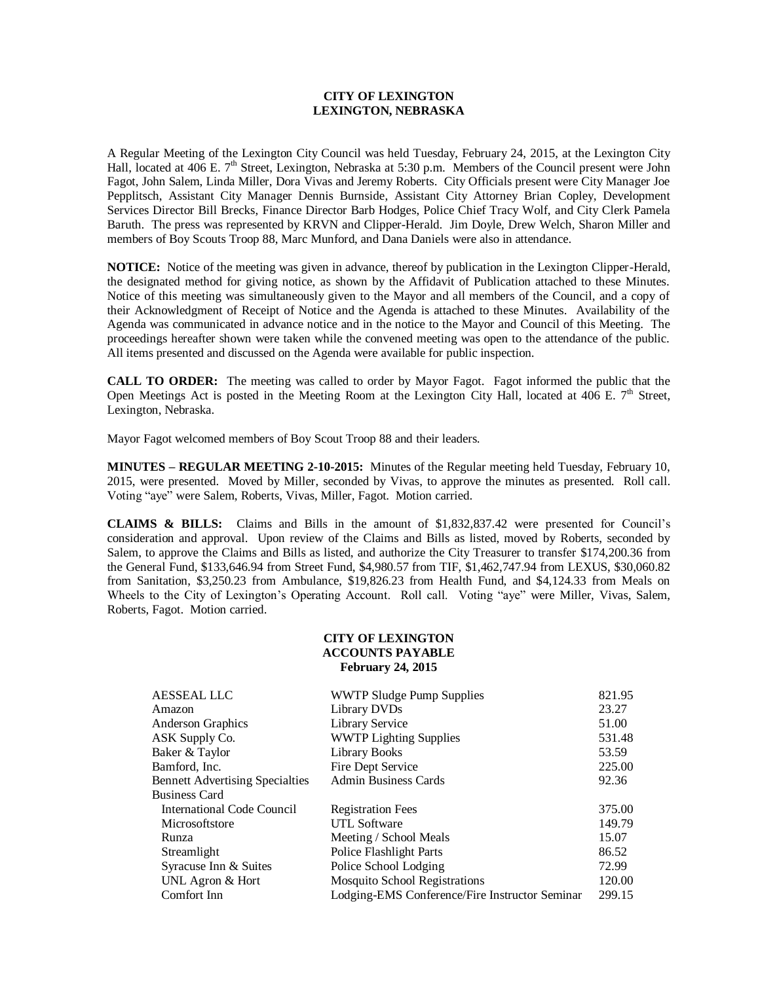## **CITY OF LEXINGTON LEXINGTON, NEBRASKA**

A Regular Meeting of the Lexington City Council was held Tuesday, February 24, 2015, at the Lexington City Hall, located at 406 E. 7<sup>th</sup> Street, Lexington, Nebraska at 5:30 p.m. Members of the Council present were John Fagot, John Salem, Linda Miller, Dora Vivas and Jeremy Roberts. City Officials present were City Manager Joe Pepplitsch, Assistant City Manager Dennis Burnside, Assistant City Attorney Brian Copley, Development Services Director Bill Brecks, Finance Director Barb Hodges, Police Chief Tracy Wolf, and City Clerk Pamela Baruth. The press was represented by KRVN and Clipper-Herald. Jim Doyle, Drew Welch, Sharon Miller and members of Boy Scouts Troop 88, Marc Munford, and Dana Daniels were also in attendance.

**NOTICE:** Notice of the meeting was given in advance, thereof by publication in the Lexington Clipper-Herald, the designated method for giving notice, as shown by the Affidavit of Publication attached to these Minutes. Notice of this meeting was simultaneously given to the Mayor and all members of the Council, and a copy of their Acknowledgment of Receipt of Notice and the Agenda is attached to these Minutes. Availability of the Agenda was communicated in advance notice and in the notice to the Mayor and Council of this Meeting. The proceedings hereafter shown were taken while the convened meeting was open to the attendance of the public. All items presented and discussed on the Agenda were available for public inspection.

**CALL TO ORDER:** The meeting was called to order by Mayor Fagot. Fagot informed the public that the Open Meetings Act is posted in the Meeting Room at the Lexington City Hall, located at 406 E.  $7<sup>th</sup>$  Street, Lexington, Nebraska.

Mayor Fagot welcomed members of Boy Scout Troop 88 and their leaders.

**MINUTES – REGULAR MEETING 2-10-2015:** Minutes of the Regular meeting held Tuesday, February 10, 2015, were presented. Moved by Miller, seconded by Vivas, to approve the minutes as presented. Roll call. Voting "aye" were Salem, Roberts, Vivas, Miller, Fagot. Motion carried.

**CLAIMS & BILLS:** Claims and Bills in the amount of \$1,832,837.42 were presented for Council's consideration and approval. Upon review of the Claims and Bills as listed, moved by Roberts, seconded by Salem, to approve the Claims and Bills as listed, and authorize the City Treasurer to transfer \$174,200.36 from the General Fund, \$133,646.94 from Street Fund, \$4,980.57 from TIF, \$1,462,747.94 from LEXUS, \$30,060.82 from Sanitation, \$3,250.23 from Ambulance, \$19,826.23 from Health Fund, and \$4,124.33 from Meals on Wheels to the City of Lexington's Operating Account. Roll call. Voting "aye" were Miller, Vivas, Salem, Roberts, Fagot. Motion carried.

### **CITY OF LEXINGTON ACCOUNTS PAYABLE February 24, 2015**

| <b>AESSEAL LLC</b>                     | <b>WWTP Sludge Pump Supplies</b>               | 821.95 |
|----------------------------------------|------------------------------------------------|--------|
| Amazon                                 | Library DVDs                                   | 23.27  |
| <b>Anderson Graphics</b>               | Library Service                                | 51.00  |
| ASK Supply Co.                         | <b>WWTP Lighting Supplies</b>                  | 531.48 |
| Baker & Taylor                         | Library Books                                  | 53.59  |
| Bamford, Inc.                          | Fire Dept Service                              | 225.00 |
| <b>Bennett Advertising Specialties</b> | <b>Admin Business Cards</b>                    | 92.36  |
| <b>Business Card</b>                   |                                                |        |
| International Code Council             | <b>Registration Fees</b>                       | 375.00 |
| Microsoftstore                         | UTL Software                                   | 149.79 |
| Runza                                  | Meeting / School Meals                         | 15.07  |
| Streamlight                            | Police Flashlight Parts                        | 86.52  |
| Syracuse Inn & Suites                  | Police School Lodging                          | 72.99  |
| UNL Agron & Hort                       | <b>Mosquito School Registrations</b>           | 120.00 |
| Comfort Inn                            | Lodging-EMS Conference/Fire Instructor Seminar | 299.15 |
|                                        |                                                |        |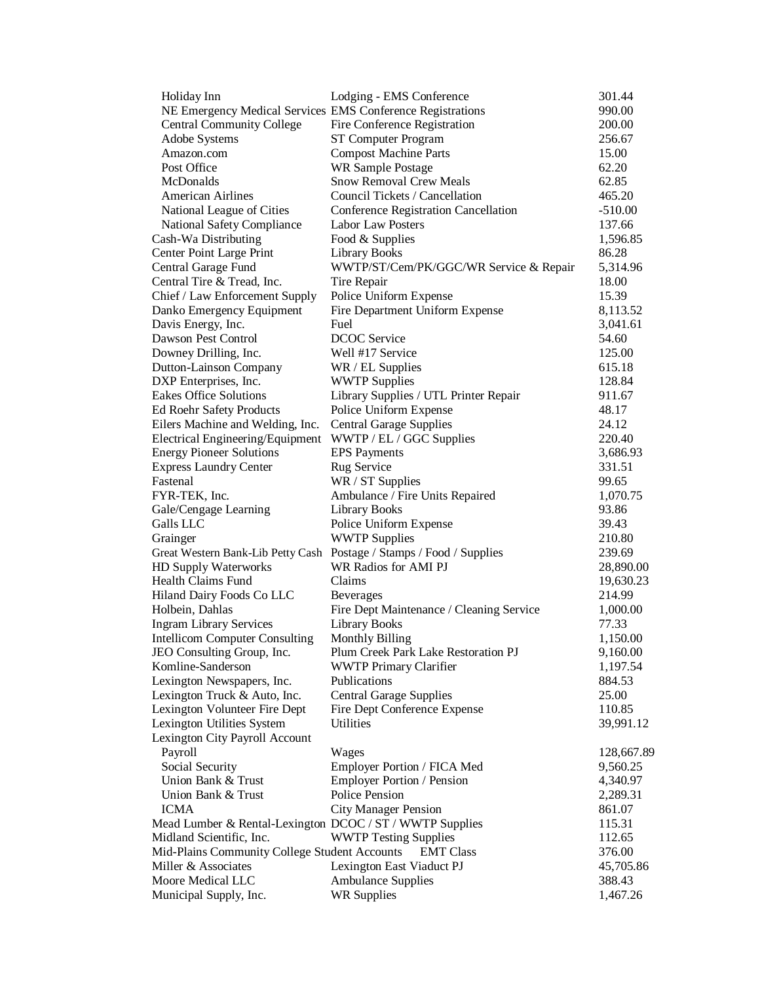| Holiday Inn                                                          | Lodging - EMS Conference                 | 301.44            |
|----------------------------------------------------------------------|------------------------------------------|-------------------|
| NE Emergency Medical Services EMS Conference Registrations           |                                          | 990.00            |
| <b>Central Community College</b>                                     | Fire Conference Registration             | 200.00            |
| Adobe Systems                                                        | ST Computer Program                      | 256.67            |
| Amazon.com                                                           | <b>Compost Machine Parts</b>             | 15.00             |
| Post Office                                                          | <b>WR Sample Postage</b>                 | 62.20             |
| McDonalds                                                            | <b>Snow Removal Crew Meals</b>           | 62.85             |
| <b>American Airlines</b>                                             | Council Tickets / Cancellation           | 465.20            |
| National League of Cities                                            | Conference Registration Cancellation     | $-510.00$         |
| National Safety Compliance                                           | <b>Labor Law Posters</b>                 | 137.66            |
| Cash-Wa Distributing                                                 | Food & Supplies                          | 1,596.85          |
| <b>Center Point Large Print</b>                                      | Library Books                            | 86.28             |
| Central Garage Fund                                                  | WWTP/ST/Cem/PK/GGC/WR Service & Repair   | 5,314.96          |
| Central Tire & Tread, Inc.                                           | Tire Repair                              | 18.00             |
| Chief / Law Enforcement Supply                                       | Police Uniform Expense                   | 15.39             |
| Danko Emergency Equipment                                            | Fire Department Uniform Expense          | 8,113.52          |
| Davis Energy, Inc.                                                   | Fuel                                     |                   |
| Dawson Pest Control                                                  | <b>DCOC</b> Service                      | 3,041.61<br>54.60 |
|                                                                      |                                          |                   |
| Downey Drilling, Inc.                                                | Well #17 Service                         | 125.00            |
| <b>Dutton-Lainson Company</b>                                        | WR / EL Supplies                         | 615.18            |
| DXP Enterprises, Inc.                                                | <b>WWTP Supplies</b>                     | 128.84            |
| <b>Eakes Office Solutions</b>                                        | Library Supplies / UTL Printer Repair    | 911.67            |
| <b>Ed Roehr Safety Products</b>                                      | Police Uniform Expense                   | 48.17             |
| Eilers Machine and Welding, Inc.                                     | <b>Central Garage Supplies</b>           | 24.12             |
| Electrical Engineering/Equipment                                     | WWTP / EL / GGC Supplies                 | 220.40            |
| <b>Energy Pioneer Solutions</b>                                      | <b>EPS</b> Payments                      | 3,686.93          |
| <b>Express Laundry Center</b>                                        | Rug Service                              | 331.51            |
| Fastenal                                                             | WR / ST Supplies                         | 99.65             |
| FYR-TEK, Inc.                                                        | Ambulance / Fire Units Repaired          | 1,070.75          |
| Gale/Cengage Learning                                                | Library Books                            | 93.86             |
| Galls LLC                                                            | Police Uniform Expense                   | 39.43             |
| Grainger                                                             | <b>WWTP Supplies</b>                     | 210.80            |
| Great Western Bank-Lib Petty Cash Postage / Stamps / Food / Supplies |                                          | 239.69            |
| <b>HD Supply Waterworks</b>                                          | WR Radios for AMI PJ                     | 28,890.00         |
| Health Claims Fund                                                   | Claims                                   | 19,630.23         |
| <b>Hiland Dairy Foods Co LLC</b>                                     | <b>Beverages</b>                         | 214.99            |
| Holbein, Dahlas                                                      | Fire Dept Maintenance / Cleaning Service | 1,000.00          |
| <b>Ingram Library Services</b>                                       | <b>Library Books</b>                     | 77.33             |
| <b>Intellicom Computer Consulting</b>                                | <b>Monthly Billing</b>                   | 1,150.00          |
| JEO Consulting Group, Inc.                                           | Plum Creek Park Lake Restoration PJ      | 9,160.00          |
| Komline-Sanderson                                                    | <b>WWTP Primary Clarifier</b>            | 1,197.54          |
| Lexington Newspapers, Inc.                                           | Publications                             | 884.53            |
| Lexington Truck & Auto, Inc.                                         | <b>Central Garage Supplies</b>           | 25.00             |
| Lexington Volunteer Fire Dept                                        | Fire Dept Conference Expense             | 110.85            |
| Lexington Utilities System                                           | Utilities                                | 39,991.12         |
| Lexington City Payroll Account                                       |                                          |                   |
| Payroll                                                              | Wages                                    | 128,667.89        |
| Social Security                                                      | Employer Portion / FICA Med              | 9,560.25          |
| Union Bank & Trust                                                   | <b>Employer Portion / Pension</b>        | 4,340.97          |
| Union Bank & Trust                                                   | <b>Police Pension</b>                    | 2,289.31          |
| <b>ICMA</b>                                                          | <b>City Manager Pension</b>              | 861.07            |
| Mead Lumber & Rental-Lexington DCOC / ST / WWTP Supplies             |                                          | 115.31            |
| Midland Scientific, Inc.                                             | <b>WWTP Testing Supplies</b>             | 112.65            |
| Mid-Plains Community College Student Accounts                        | <b>EMT Class</b>                         | 376.00            |
| Miller & Associates                                                  | Lexington East Viaduct PJ                | 45,705.86         |
| Moore Medical LLC                                                    |                                          |                   |
|                                                                      | <b>Ambulance Supplies</b>                | 388.43            |
| Municipal Supply, Inc.                                               | <b>WR Supplies</b>                       | 1,467.26          |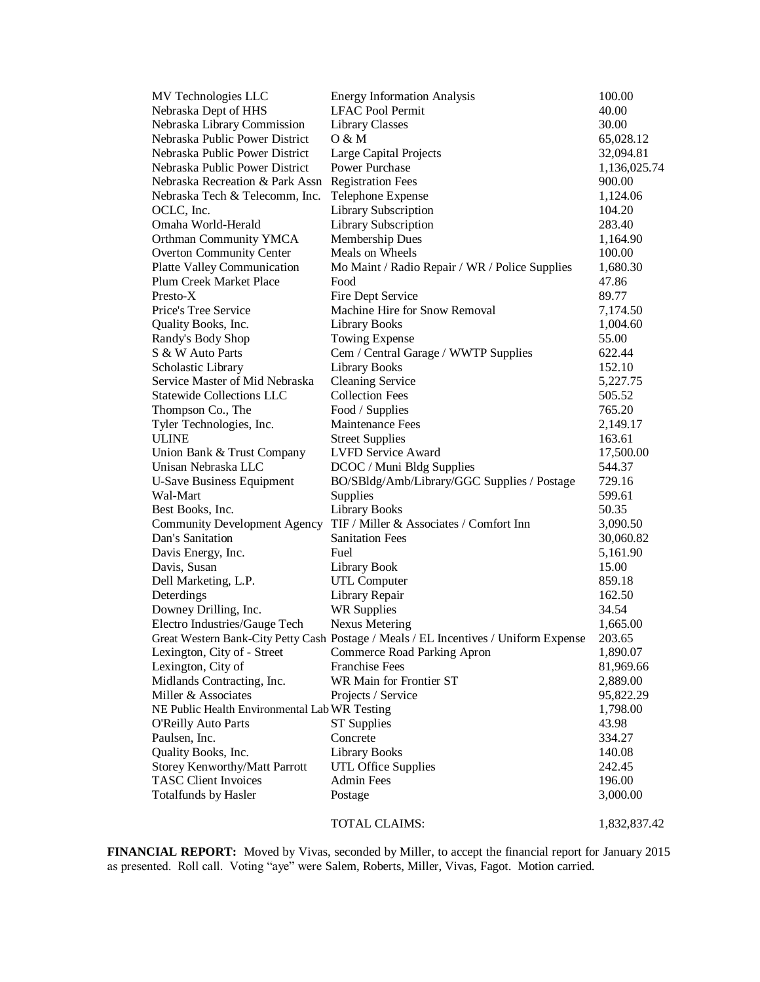| MV Technologies LLC                                     | <b>Energy Information Analysis</b>                                                   | 100.00       |
|---------------------------------------------------------|--------------------------------------------------------------------------------------|--------------|
| Nebraska Dept of HHS                                    | <b>LFAC Pool Permit</b>                                                              | 40.00        |
| Nebraska Library Commission                             | Library Classes                                                                      | 30.00        |
| Nebraska Public Power District                          | O & M                                                                                | 65,028.12    |
| Nebraska Public Power District                          | Large Capital Projects                                                               | 32,094.81    |
| Nebraska Public Power District                          | Power Purchase                                                                       | 1,136,025.74 |
| Nebraska Recreation & Park Assn                         | <b>Registration Fees</b>                                                             | 900.00       |
| Nebraska Tech & Telecomm, Inc.                          | Telephone Expense                                                                    | 1,124.06     |
| OCLC, Inc.                                              | Library Subscription                                                                 | 104.20       |
| Omaha World-Herald                                      | Library Subscription                                                                 | 283.40       |
| Orthman Community YMCA                                  | <b>Membership Dues</b>                                                               | 1,164.90     |
| <b>Overton Community Center</b>                         | Meals on Wheels                                                                      | 100.00       |
| <b>Platte Valley Communication</b>                      | Mo Maint / Radio Repair / WR / Police Supplies                                       | 1,680.30     |
| Plum Creek Market Place                                 | Food                                                                                 | 47.86        |
| Presto-X                                                | Fire Dept Service                                                                    | 89.77        |
| Price's Tree Service                                    | Machine Hire for Snow Removal                                                        | 7,174.50     |
| Quality Books, Inc.                                     | <b>Library Books</b>                                                                 | 1,004.60     |
| Randy's Body Shop                                       | Towing Expense                                                                       | 55.00        |
| S & W Auto Parts                                        | Cem / Central Garage / WWTP Supplies                                                 | 622.44       |
| Scholastic Library                                      | <b>Library Books</b>                                                                 | 152.10       |
| Service Master of Mid Nebraska                          | <b>Cleaning Service</b>                                                              | 5,227.75     |
| <b>Statewide Collections LLC</b>                        | <b>Collection Fees</b>                                                               | 505.52       |
| Thompson Co., The                                       | Food / Supplies                                                                      | 765.20       |
| Tyler Technologies, Inc.                                | Maintenance Fees                                                                     | 2,149.17     |
| <b>ULINE</b>                                            | <b>Street Supplies</b>                                                               | 163.61       |
| Union Bank & Trust Company                              | <b>LVFD Service Award</b>                                                            | 17,500.00    |
| Unisan Nebraska LLC                                     | DCOC / Muni Bldg Supplies                                                            | 544.37       |
| <b>U-Save Business Equipment</b>                        | BO/SBldg/Amb/Library/GGC Supplies / Postage                                          | 729.16       |
| Wal-Mart                                                | Supplies                                                                             | 599.61       |
|                                                         | <b>Library Books</b>                                                                 | 50.35        |
| Best Books, Inc.                                        | TIF / Miller & Associates / Comfort Inn                                              |              |
| <b>Community Development Agency</b><br>Dan's Sanitation | <b>Sanitation Fees</b>                                                               | 3,090.50     |
|                                                         |                                                                                      | 30,060.82    |
| Davis Energy, Inc.                                      | Fuel                                                                                 | 5,161.90     |
| Davis, Susan                                            | Library Book                                                                         | 15.00        |
| Dell Marketing, L.P.                                    | <b>UTL Computer</b>                                                                  | 859.18       |
| Deterdings                                              | Library Repair                                                                       | 162.50       |
| Downey Drilling, Inc.                                   | <b>WR Supplies</b>                                                                   | 34.54        |
| Electro Industries/Gauge Tech                           | <b>Nexus Metering</b>                                                                | 1,665.00     |
|                                                         | Great Western Bank-City Petty Cash Postage / Meals / EL Incentives / Uniform Expense | 203.65       |
| Lexington, City of - Street                             | <b>Commerce Road Parking Apron</b>                                                   | 1,890.07     |
| Lexington, City of                                      | <b>Franchise Fees</b>                                                                | 81,969.66    |
| Midlands Contracting, Inc.                              | WR Main for Frontier ST                                                              | 2,889.00     |
| Miller & Associates                                     | Projects / Service                                                                   | 95,822.29    |
| NE Public Health Environmental Lab WR Testing           |                                                                                      | 1,798.00     |
| <b>O'Reilly Auto Parts</b>                              | <b>ST</b> Supplies                                                                   | 43.98        |
| Paulsen, Inc.                                           | Concrete                                                                             | 334.27       |
| Quality Books, Inc.                                     | <b>Library Books</b>                                                                 | 140.08       |
| Storey Kenworthy/Matt Parrott                           | <b>UTL Office Supplies</b>                                                           | 242.45       |
| <b>TASC Client Invoices</b>                             | <b>Admin Fees</b>                                                                    | 196.00       |
| <b>Totalfunds by Hasler</b>                             | Postage                                                                              | 3,000.00     |
|                                                         | TOTAL CLAIMS:                                                                        | 1,832,837.42 |

**FINANCIAL REPORT:** Moved by Vivas, seconded by Miller, to accept the financial report for January 2015 as presented. Roll call. Voting "aye" were Salem, Roberts, Miller, Vivas, Fagot. Motion carried.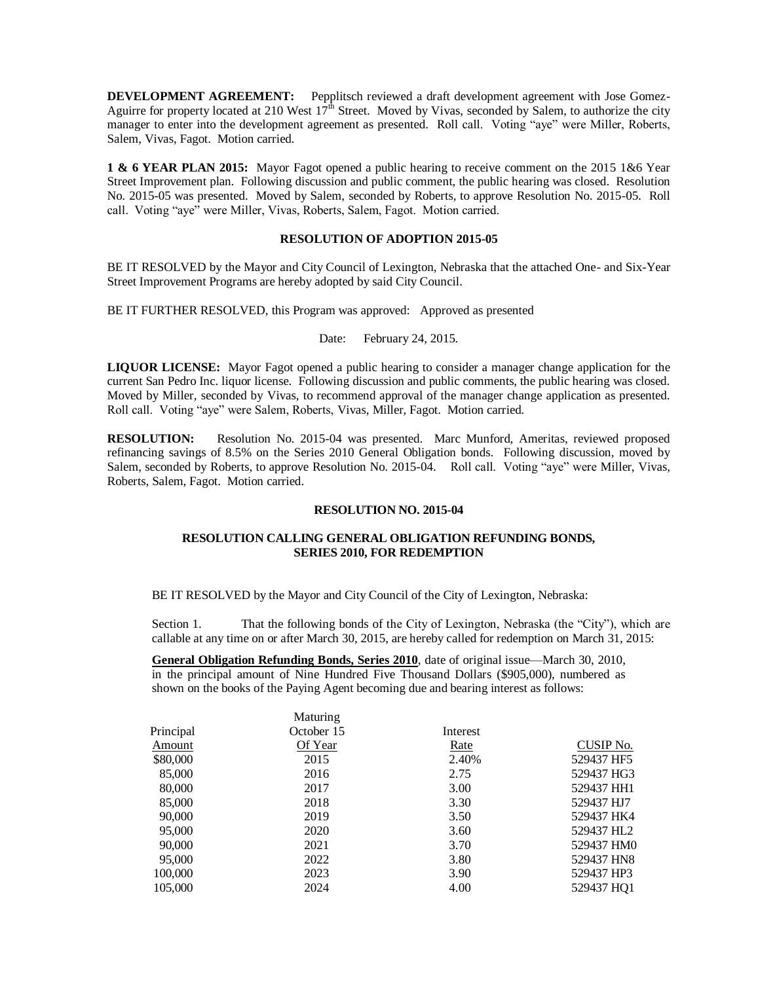**DEVELOPMENT AGREEMENT:** Pepplitsch reviewed a draft development agreement with Jose Gomez-Aguirre for property located at 210 West  $17<sup>th</sup>$  Street. Moved by Vivas, seconded by Salem, to authorize the city manager to enter into the development agreement as presented. Roll call. Voting "aye" were Miller, Roberts, Salem, Vivas, Fagot. Motion carried.

**1 & 6 YEAR PLAN 2015:** Mayor Fagot opened a public hearing to receive comment on the 2015 1&6 Year Street Improvement plan. Following discussion and public comment, the public hearing was closed. Resolution No. 2015-05 was presented. Moved by Salem, seconded by Roberts, to approve Resolution No. 2015-05. Roll call. Voting "aye" were Miller, Vivas, Roberts, Salem, Fagot. Motion carried.

### **RESOLUTION OF ADOPTION 2015-05**

BE IT RESOLVED by the Mayor and City Council of Lexington, Nebraska that the attached One- and Six-Year Street Improvement Programs are hereby adopted by said City Council.

BE IT FURTHER RESOLVED, this Program was approved: Approved as presented

### Date: February 24, 2015.

**LIQUOR LICENSE:** Mayor Fagot opened a public hearing to consider a manager change application for the current San Pedro Inc. liquor license. Following discussion and public comments, the public hearing was closed. Moved by Miller, seconded by Vivas, to recommend approval of the manager change application as presented. Roll call. Voting "aye" were Salem, Roberts, Vivas, Miller, Fagot. Motion carried.

**RESOLUTION:** Resolution No. 2015-04 was presented. Marc Munford, Ameritas, reviewed proposed refinancing savings of 8.5% on the Series 2010 General Obligation bonds. Following discussion, moved by Salem, seconded by Roberts, to approve Resolution No. 2015-04. Roll call. Voting "aye" were Miller, Vivas, Roberts, Salem, Fagot. Motion carried.

### **RESOLUTION NO. 2015-04**

# **RESOLUTION CALLING GENERAL OBLIGATION REFUNDING BONDS, SERIES 2010, FOR REDEMPTION**

BE IT RESOLVED by the Mayor and City Council of the City of Lexington, Nebraska:

Section 1. That the following bonds of the City of Lexington, Nebraska (the "City"), which are callable at any time on or after March 30, 2015, are hereby called for redemption on March 31, 2015:

**General Obligation Refunding Bonds, Series 2010**, date of original issue—March 30, 2010, in the principal amount of Nine Hundred Five Thousand Dollars (\$905,000), numbered as shown on the books of the Paying Agent becoming due and bearing interest as follows:

| Maturing   |          |                        |
|------------|----------|------------------------|
| October 15 | Interest |                        |
| Of Year    | Rate     | CUSIP No.              |
| 2015       | 2.40%    | 529437 HF5             |
| 2016       | 2.75     | 529437 HG3             |
| 2017       | 3.00     | 529437 HH1             |
| 2018       | 3.30     | 529437 HJ7             |
| 2019       | 3.50     | 529437 HK4             |
| 2020       | 3.60     | 529437 HL2             |
| 2021       | 3.70     | 529437 HM0             |
| 2022       | 3.80     | 529437 HN8             |
| 2023       | 3.90     | 529437 HP3             |
| 2024       | 4.00     | 529437 HO <sub>1</sub> |
|            |          |                        |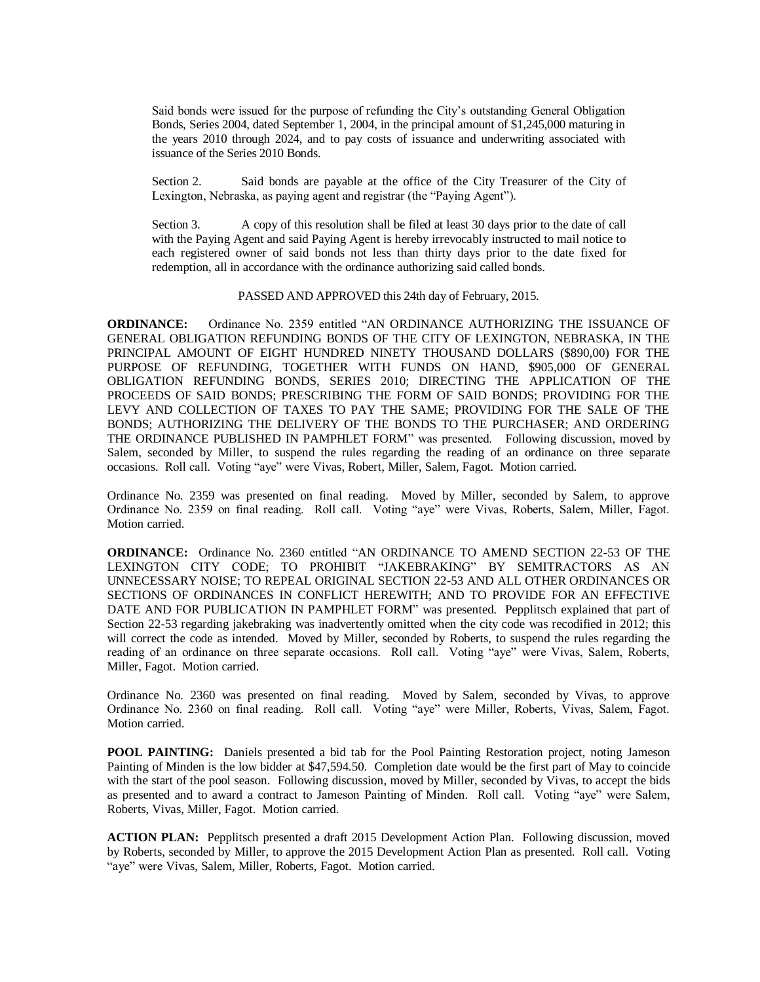Said bonds were issued for the purpose of refunding the City's outstanding General Obligation Bonds, Series 2004, dated September 1, 2004, in the principal amount of \$1,245,000 maturing in the years 2010 through 2024, and to pay costs of issuance and underwriting associated with issuance of the Series 2010 Bonds.

Section 2. Said bonds are payable at the office of the City Treasurer of the City of Lexington, Nebraska, as paying agent and registrar (the "Paying Agent").

Section 3. A copy of this resolution shall be filed at least 30 days prior to the date of call with the Paying Agent and said Paying Agent is hereby irrevocably instructed to mail notice to each registered owner of said bonds not less than thirty days prior to the date fixed for redemption, all in accordance with the ordinance authorizing said called bonds.

#### PASSED AND APPROVED this 24th day of February, 2015.

**ORDINANCE:** Ordinance No. 2359 entitled "AN ORDINANCE AUTHORIZING THE ISSUANCE OF GENERAL OBLIGATION REFUNDING BONDS OF THE CITY OF LEXINGTON, NEBRASKA, IN THE PRINCIPAL AMOUNT OF EIGHT HUNDRED NINETY THOUSAND DOLLARS (\$890,00) FOR THE PURPOSE OF REFUNDING, TOGETHER WITH FUNDS ON HAND, \$905,000 OF GENERAL OBLIGATION REFUNDING BONDS, SERIES 2010; DIRECTING THE APPLICATION OF THE PROCEEDS OF SAID BONDS; PRESCRIBING THE FORM OF SAID BONDS; PROVIDING FOR THE LEVY AND COLLECTION OF TAXES TO PAY THE SAME; PROVIDING FOR THE SALE OF THE BONDS; AUTHORIZING THE DELIVERY OF THE BONDS TO THE PURCHASER; AND ORDERING THE ORDINANCE PUBLISHED IN PAMPHLET FORM" was presented. Following discussion, moved by Salem, seconded by Miller, to suspend the rules regarding the reading of an ordinance on three separate occasions. Roll call. Voting "aye" were Vivas, Robert, Miller, Salem, Fagot. Motion carried.

Ordinance No. 2359 was presented on final reading. Moved by Miller, seconded by Salem, to approve Ordinance No. 2359 on final reading. Roll call. Voting "aye" were Vivas, Roberts, Salem, Miller, Fagot. Motion carried.

**ORDINANCE:** Ordinance No. 2360 entitled "AN ORDINANCE TO AMEND SECTION 22-53 OF THE LEXINGTON CITY CODE; TO PROHIBIT "JAKEBRAKING" BY SEMITRACTORS AS AN UNNECESSARY NOISE; TO REPEAL ORIGINAL SECTION 22-53 AND ALL OTHER ORDINANCES OR SECTIONS OF ORDINANCES IN CONFLICT HEREWITH; AND TO PROVIDE FOR AN EFFECTIVE DATE AND FOR PUBLICATION IN PAMPHLET FORM" was presented. Pepplitsch explained that part of Section 22-53 regarding jakebraking was inadvertently omitted when the city code was recodified in 2012; this will correct the code as intended. Moved by Miller, seconded by Roberts, to suspend the rules regarding the reading of an ordinance on three separate occasions. Roll call. Voting "aye" were Vivas, Salem, Roberts, Miller, Fagot. Motion carried.

Ordinance No. 2360 was presented on final reading. Moved by Salem, seconded by Vivas, to approve Ordinance No. 2360 on final reading. Roll call. Voting "aye" were Miller, Roberts, Vivas, Salem, Fagot. Motion carried.

**POOL PAINTING:** Daniels presented a bid tab for the Pool Painting Restoration project, noting Jameson Painting of Minden is the low bidder at \$47,594.50. Completion date would be the first part of May to coincide with the start of the pool season. Following discussion, moved by Miller, seconded by Vivas, to accept the bids as presented and to award a contract to Jameson Painting of Minden. Roll call. Voting "aye" were Salem, Roberts, Vivas, Miller, Fagot. Motion carried.

**ACTION PLAN:** Pepplitsch presented a draft 2015 Development Action Plan. Following discussion, moved by Roberts, seconded by Miller, to approve the 2015 Development Action Plan as presented. Roll call. Voting "aye" were Vivas, Salem, Miller, Roberts, Fagot. Motion carried.